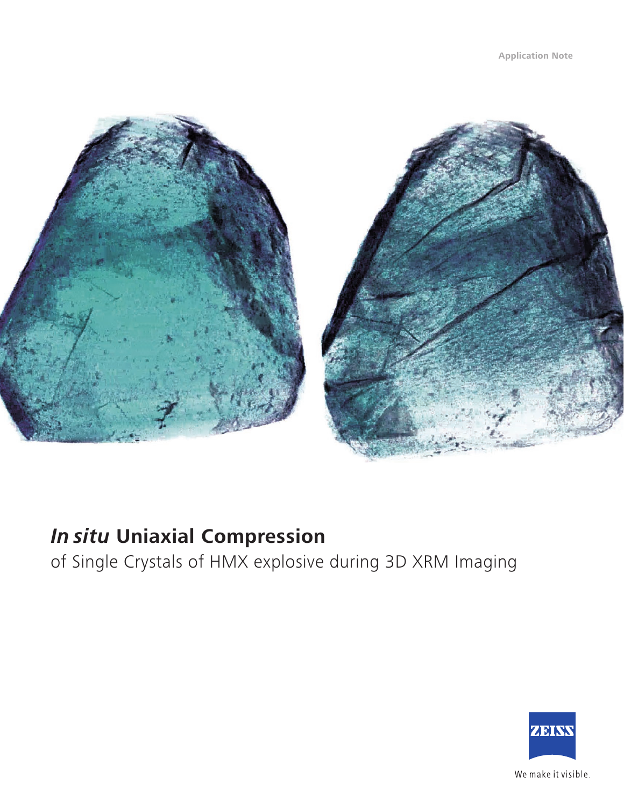

## *In situ* **Uniaxial Compression**

of Single Crystals of HMX explosive during 3D XRM Imaging

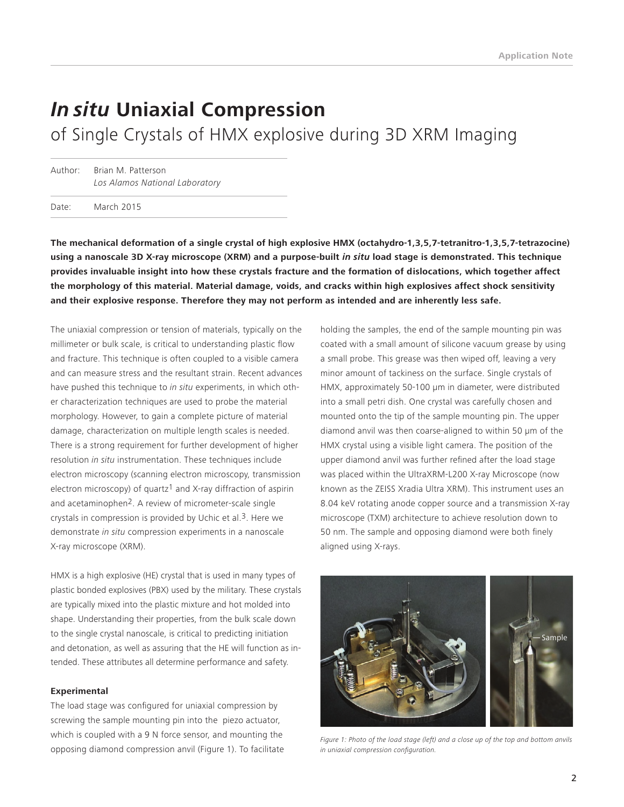# *In situ* **Uniaxial Compression**

of Single Crystals of HMX explosive during 3D XRM Imaging

Author: Brian M. Patterson *Los Alamos National Laboratory*

Date: March 2015

**The mechanical deformation of a single crystal of high explosive HMX (octahydro-1,3,5,7-tetranitro-1,3,5,7-tetrazocine) using a nanoscale 3D X-ray microscope (XRM) and a purpose-built** *in situ* **load stage is demonstrated. This technique provides invaluable insight into how these crystals fracture and the formation of dislocations, which together affect the morphology of this material. Material damage, voids, and cracks within high explosives affect shock sensitivity and their explosive response. Therefore they may not perform as intended and are inherently less safe.** 

The uniaxial compression or tension of materials, typically on the millimeter or bulk scale, is critical to understanding plastic flow and fracture. This technique is often coupled to a visible camera and can measure stress and the resultant strain. Recent advances have pushed this technique to *in situ* experiments, in which other characterization techniques are used to probe the material morphology. However, to gain a complete picture of material damage, characterization on multiple length scales is needed. There is a strong requirement for further development of higher resolution *in situ* instrumentation. These techniques include electron microscopy (scanning electron microscopy, transmission electron microscopy) of quartz<sup>1</sup> and X-ray diffraction of aspirin and acetaminophen2. A review of micrometer-scale single crystals in compression is provided by Uchic et al.3. Here we demonstrate *in situ* compression experiments in a nanoscale X-ray microscope (XRM).

HMX is a high explosive (HE) crystal that is used in many types of plastic bonded explosives (PBX) used by the military. These crystals are typically mixed into the plastic mixture and hot molded into shape. Understanding their properties, from the bulk scale down to the single crystal nanoscale, is critical to predicting initiation and detonation, as well as assuring that the HE will function as intended. These attributes all determine performance and safety.

#### **Experimental**

The load stage was configured for uniaxial compression by screwing the sample mounting pin into the piezo actuator, which is coupled with a 9 N force sensor, and mounting the opposing diamond compression anvil (Figure 1). To facilitate holding the samples, the end of the sample mounting pin was coated with a small amount of silicone vacuum grease by using a small probe. This grease was then wiped off, leaving a very minor amount of tackiness on the surface. Single crystals of HMX, approximately 50-100 µm in diameter, were distributed into a small petri dish. One crystal was carefully chosen and mounted onto the tip of the sample mounting pin. The upper diamond anvil was then coarse-aligned to within 50 µm of the HMX crystal using a visible light camera. The position of the upper diamond anvil was further refined after the load stage was placed within the UltraXRM-L200 X-ray Microscope (now known as the ZEISS Xradia Ultra XRM). This instrument uses an 8.04 keV rotating anode copper source and a transmission X-ray microscope (TXM) architecture to achieve resolution down to 50 nm. The sample and opposing diamond were both finely aligned using X-rays.



*Figure 1: Photo of the load stage (left) and a close up of the top and bottom anvils in uniaxial compression configuration.*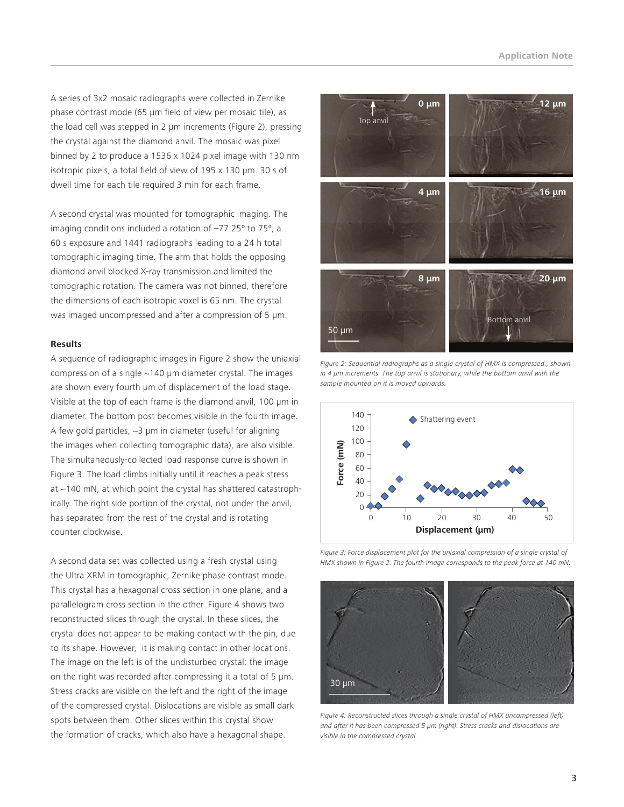A series of 3x2 mosaic radiographs were collected in Zernike phase contrast mode (65 µm field of view per mosaic tile), as the load cell was stepped in 2 µm increments (Figure 2), pressing the crystal against the diamond anvil. The mosaic was pixel binned by 2 to produce a 1536 x 1024 pixel image with 130 nm isotropic pixels, a total field of view of 195 x 130 µm. 30 s of dwell time for each tile required 3 min for each frame.

A second crystal was mounted for tomographic imaging. The imaging conditions included a rotation of –77.25º to 75º, a 60 s exposure and 1441 radiographs leading to a 24 h total tomographic imaging time. The arm that holds the opposing diamond anvil blocked X-ray transmission and limited the tomographic rotation. The camera was not binned, therefore the dimensions of each isotropic voxel is 65 nm. The crystal was imaged uncompressed and after a compression of 5  $\mu$ m.

#### **Results**

A sequence of radiographic images in Figure 2 show the uniaxial compression of a single  $\sim$ 140 µm diameter crystal. The images are shown every fourth µm of displacement of the load stage. Visible at the top of each frame is the diamond anvil, 100 µm in diameter. The bottom post becomes visible in the fourth image. A few gold particles,  $\sim$ 3 µm in diameter (useful for aligning the images when collecting tomographic data), are also visible. The simultaneously-collected load response curve is shown in Figure 3. The load climbs initially until it reaches a peak stress at ~140 mN, at which point the crystal has shattered catastrophically. The right side portion of the crystal, not under the anvil, has separated from the rest of the crystal and is rotating counter clockwise.

A second data set was collected using a fresh crystal using the Ultra XRM in tomographic, Zernike phase contrast mode. This crystal has a hexagonal cross section in one plane, and a parallelogram cross section in the other. Figure 4 shows two reconstructed slices through the crystal. In these slices, the crystal does not appear to be making contact with the pin, due to its shape. However, it is making contact in other locations. The image on the left is of the undisturbed crystal; the image on the right was recorded after compressing it a total of 5 µm. Stress cracks are visible on the left and the right of the image of the compressed crystal. Dislocations are visible as small dark spots between them. Other slices within this crystal show the formation of cracks, which also have a hexagonal shape.



*Figure 2: Sequential radiographs as a single crystal of HMX is compressed., shown in 4 µm increments. The top anvil is stationary, while the bottom anvil with the sample mounted on it is moved upwards.* 



*Figure 3: Force displacement plot for the uniaxial compression of a single crystal of*  HMX shown in Figure 2. The fourth image corresponds to the peak force at 140 mN.



*Figure 4: Reconstructed slices through a single crystal of HMX uncompressed (left) and after it has been compressed 5 µm (right). Stress cracks and dislocations are visible in the compressed crystal.*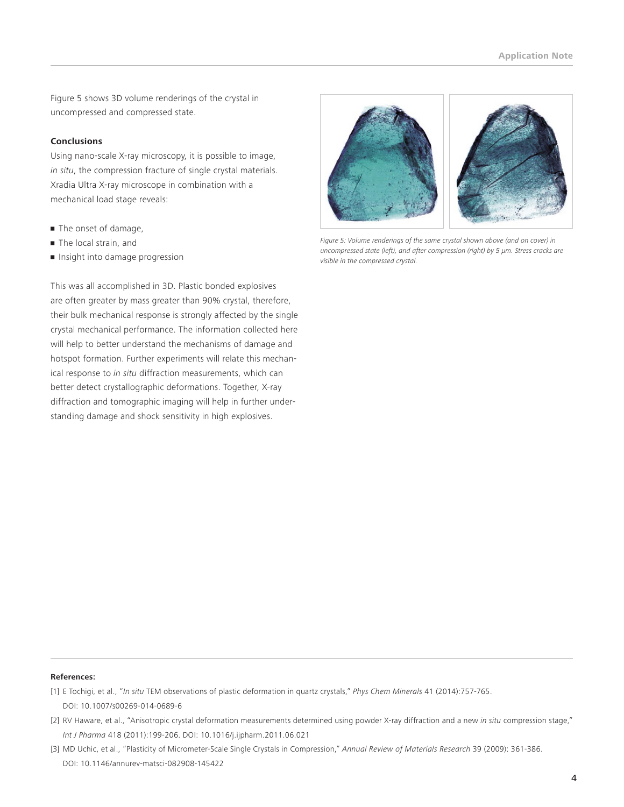Figure 5 shows 3D volume renderings of the crystal in uncompressed and compressed state.

### **Conclusions**

Using nano-scale X-ray microscopy, it is possible to image, *in situ*, the compression fracture of single crystal materials. Xradia Ultra X-ray microscope in combination with a mechanical load stage reveals:

- **The onset of damage,**
- **The local strain, and**
- Insight into damage progression

This was all accomplished in 3D. Plastic bonded explosives are often greater by mass greater than 90% crystal, therefore, their bulk mechanical response is strongly affected by the single crystal mechanical performance. The information collected here will help to better understand the mechanisms of damage and hotspot formation. Further experiments will relate this mechanical response to *in situ* diffraction measurements, which can better detect crystallographic deformations. Together, X-ray diffraction and tomographic imaging will help in further understanding damage and shock sensitivity in high explosives.



*Figure 5: Volume renderings of the same crystal shown above (and on cover) in uncompressed state (left), and after compression (right) by 5 µm. Stress cracks are visible in the compressed crystal.* 

#### **References:**

- [1] E Tochigi, et al., "*In situ* TEM observations of plastic deformation in quartz crystals," *Phys Chem Minerals* 41 (2014):757-765. [DOI: 10.1007/s00269-014-0689-6](http://dx.doi.org/10.1007/s00269-014-0689-6)
- [2] RV Haware, et al., "Anisotropic crystal deformation measurements determined using powder X-ray diffraction and a new *in situ* compression stage," *Int J Pharma* 418 (2011):199-206. [DOI: 10.1016/j.ijpharm.2011.06.021](http://dx.doi.org/10.1016/j.ijpharm.2011.06.021)
- [3] MD Uchic, et al., "Plasticity of Micrometer-Scale Single Crystals in Compression," *Annual Review of Materials Research* 39 (2009): 361-386. [DOI: 10.1146/annurev-matsci-082908-145422](http://dx.doi.org/10.1146/annurev-matsci-082908-145422)